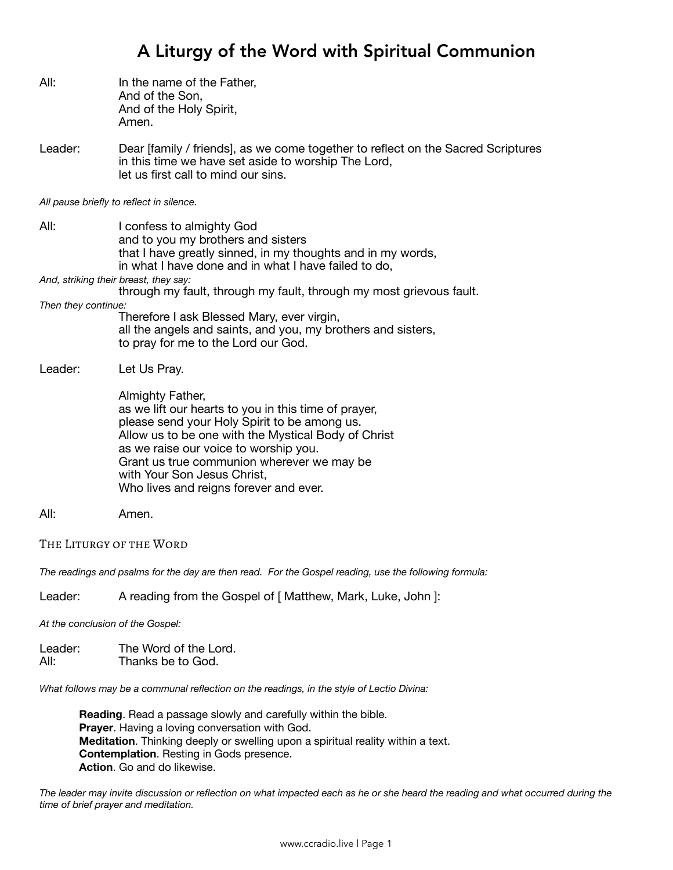## A Liturgy of the Word with Spiritual Communion

| All:                                                                                                  | In the name of the Father,<br>And of the Son,<br>And of the Holy Spirit,<br>Amen.                                                                                                                                                                                                                                                               |  |
|-------------------------------------------------------------------------------------------------------|-------------------------------------------------------------------------------------------------------------------------------------------------------------------------------------------------------------------------------------------------------------------------------------------------------------------------------------------------|--|
| Leader:                                                                                               | Dear [family / friends], as we come together to reflect on the Sacred Scriptures<br>in this time we have set aside to worship The Lord,<br>let us first call to mind our sins.                                                                                                                                                                  |  |
| All pause briefly to reflect in silence.                                                              |                                                                                                                                                                                                                                                                                                                                                 |  |
| All:                                                                                                  | I confess to almighty God<br>and to you my brothers and sisters<br>that I have greatly sinned, in my thoughts and in my words,<br>in what I have done and in what I have failed to do,<br>And, striking their breast, they say:                                                                                                                 |  |
|                                                                                                       | through my fault, through my fault, through my most grievous fault.                                                                                                                                                                                                                                                                             |  |
| Then they continue:                                                                                   | Therefore I ask Blessed Mary, ever virgin,<br>all the angels and saints, and you, my brothers and sisters,<br>to pray for me to the Lord our God.                                                                                                                                                                                               |  |
| Leader:                                                                                               | Let Us Pray.                                                                                                                                                                                                                                                                                                                                    |  |
|                                                                                                       | Almighty Father,<br>as we lift our hearts to you in this time of prayer,<br>please send your Holy Spirit to be among us.<br>Allow us to be one with the Mystical Body of Christ<br>as we raise our voice to worship you.<br>Grant us true communion wherever we may be<br>with Your Son Jesus Christ,<br>Who lives and reigns forever and ever. |  |
| All:                                                                                                  | Amen.                                                                                                                                                                                                                                                                                                                                           |  |
| THE LITURGY OF THE WORD                                                                               |                                                                                                                                                                                                                                                                                                                                                 |  |
| The readings and psalms for the day are then read. For the Gospel reading, use the following formula: |                                                                                                                                                                                                                                                                                                                                                 |  |
| Leader:                                                                                               | A reading from the Gospel of [ Matthew, Mark, Luke, John ]:                                                                                                                                                                                                                                                                                     |  |

*At the conclusion of the Gospel:* 

| Leader: | The Word of the Lord. |
|---------|-----------------------|
| All:    | Thanks be to God.     |

*What follows may be a communal reflection on the readings, in the style of Lectio Divina:* 

**Reading**. Read a passage slowly and carefully within the bible. **Prayer**. Having a loving conversation with God. **Meditation**. Thinking deeply or swelling upon a spiritual reality within a text. **Contemplation**. Resting in Gods presence. **Action**. Go and do likewise.

*The leader may invite discussion or reflection on what impacted each as he or she heard the reading and what occurred during the time of brief prayer and meditation.*